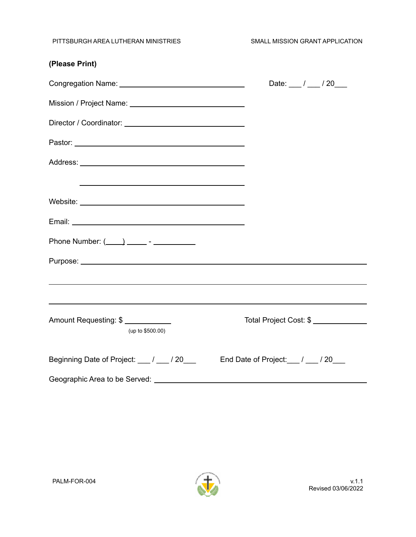PITTSBURGH AREA LUTHERAN MINISTRIES SMALL MISSION GRANT APPLICATION

| (Please Print)                                                                                                                |                                      |
|-------------------------------------------------------------------------------------------------------------------------------|--------------------------------------|
|                                                                                                                               | Date: $\frac{1}{2}$ / $\frac{20}{2}$ |
|                                                                                                                               |                                      |
|                                                                                                                               |                                      |
|                                                                                                                               |                                      |
|                                                                                                                               |                                      |
|                                                                                                                               |                                      |
|                                                                                                                               |                                      |
|                                                                                                                               |                                      |
|                                                                                                                               |                                      |
|                                                                                                                               |                                      |
| ,我们也不会有什么。""我们的人,我们也不会有什么?""我们的人,我们也不会有什么?""我们的人,我们也不会有什么?""我们的人,我们也不会有什么?""我们的人<br>Amount Requesting: \$<br>(up to \$500.00) | Total Project Cost: \$               |
| Beginning Date of Project: 1 / 20 End Date of Project: 1 / 20                                                                 |                                      |
|                                                                                                                               |                                      |